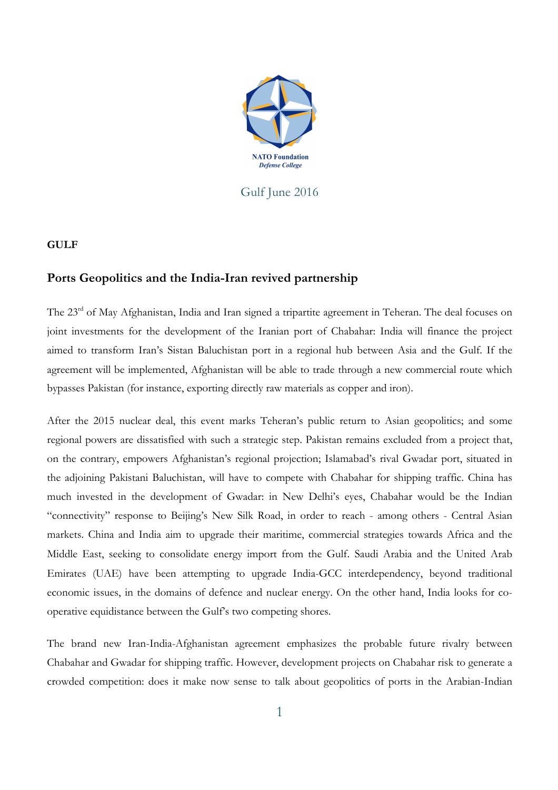

Gulf June 2016

## **GULF**

## **Ports Geopolitics and the India-Iran revived partnership**

The 23<sup>rd</sup> of May Afghanistan, India and Iran signed a tripartite agreement in Teheran. The deal focuses on joint investments for the development of the Iranian port of Chabahar: India will finance the project aimed to transform Iran's Sistan Baluchistan port in a regional hub between Asia and the Gulf. If the agreement will be implemented, Afghanistan will be able to trade through a new commercial route which bypasses Pakistan (for instance, exporting directly raw materials as copper and iron).

After the 2015 nuclear deal, this event marks Teheran's public return to Asian geopolitics; and some regional powers are dissatisfied with such a strategic step. Pakistan remains excluded from a project that, on the contrary, empowers Afghanistan's regional projection; Islamabad's rival Gwadar port, situated in the adjoining Pakistani Baluchistan, will have to compete with Chabahar for shipping traffic. China has much invested in the development of Gwadar: in New Delhi's eyes, Chabahar would be the Indian "connectivity" response to Beijing's New Silk Road, in order to reach - among others - Central Asian markets. China and India aim to upgrade their maritime, commercial strategies towards Africa and the Middle East, seeking to consolidate energy import from the Gulf. Saudi Arabia and the United Arab Emirates (UAE) have been attempting to upgrade India-GCC interdependency, beyond traditional economic issues, in the domains of defence and nuclear energy. On the other hand, India looks for cooperative equidistance between the Gulf's two competing shores.

The brand new Iran-India-Afghanistan agreement emphasizes the probable future rivalry between Chabahar and Gwadar for shipping traffic. However, development projects on Chabahar risk to generate a crowded competition: does it make now sense to talk about geopolitics of ports in the Arabian-Indian